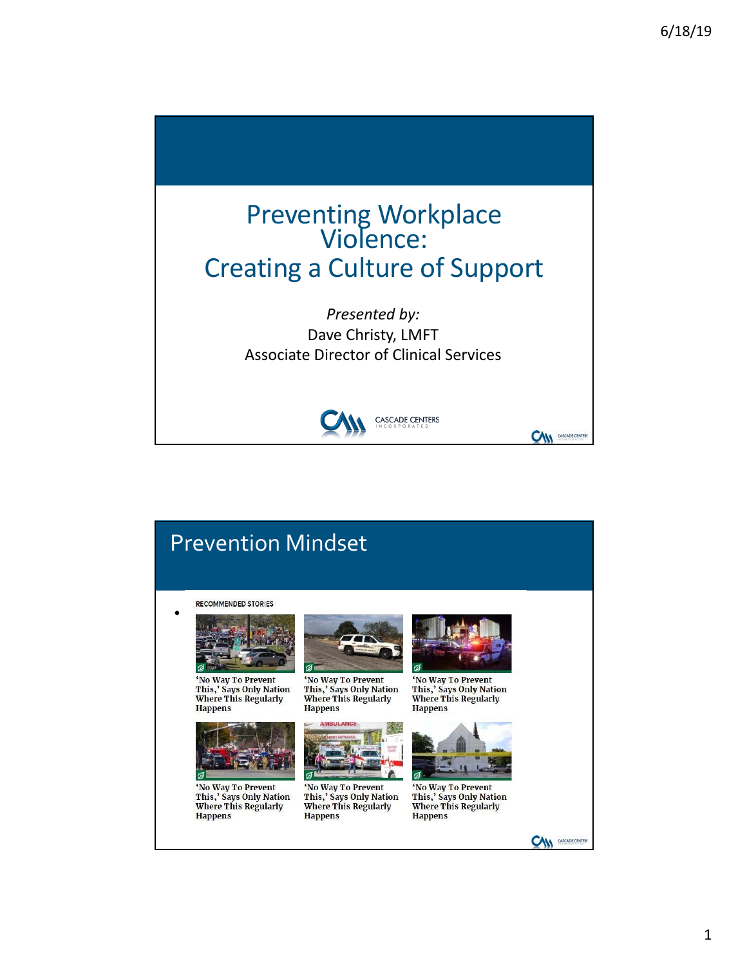

# Prevention Mindset

 $\cdot$   $\cdot$ 



'No Way To Prevent This,' Says Only Nation<br>Where This Regularly **Happens** 



'No Way To Prevent<br>This,' Says Only Nation<br>Where This Regularly **Happens** 



'No Way To Prevent This,' Says Only Nation<br>Where This Regularly **Happens** 



'No Way To Prevent This,' Says Only Nation<br>Where This Regularly **Happens** 



'No Way To Prevent<br>This,' Says Only Nation<br>Where This Regularly **Happens** 



'No Way To Prevent<br>This,' Says Only Nation<br>Where This Regularly **Happens** 

**CAN** *CASCADE CENTER*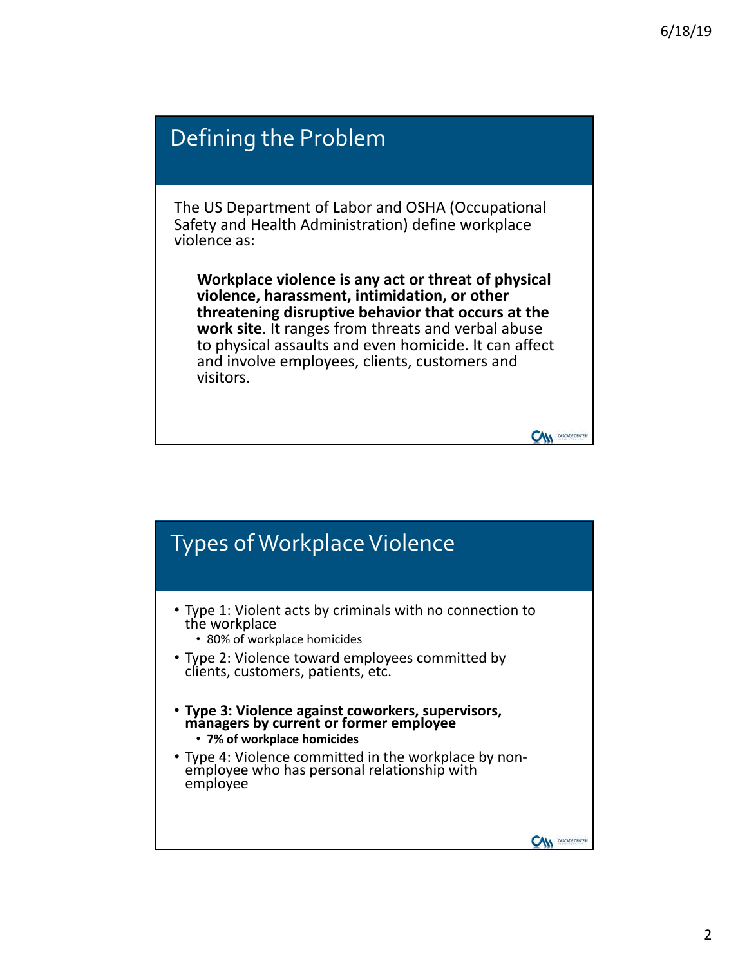#### Defining the Problem The US Department of Labor and OSHA (Occupational Safety and Health Administration) define workplace violence as: **Workplace violence is any act or threat of physical violence, harassment, intimidation, or other threatening disruptive behavior that occurs at the work site**. It ranges from threats and verbal abuse to physical assaults and even homicide. It can affect and involve employees, clients, customers and visitors. **CAM** CASCADE CENTER

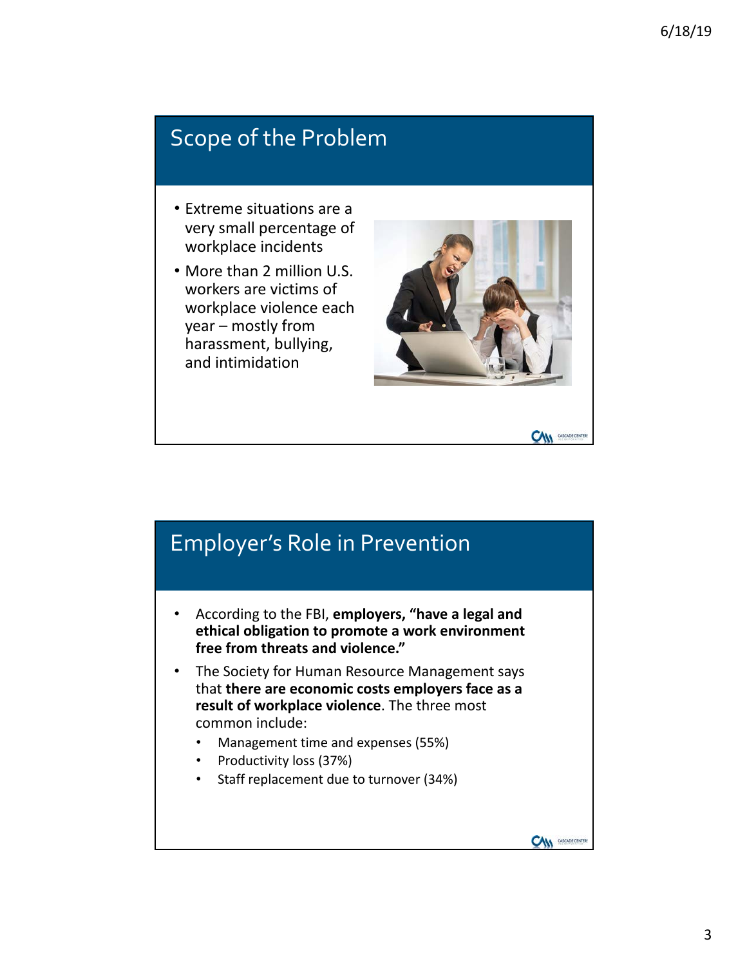#### Scope of the Problem

- Extreme situations are a very small percentage of workplace incidents
- More than 2 million U.S. workers are victims of workplace violence each  $year$  – mostly from harassment, bullying, and intimidation



**CAM** CASCADE CENTERS

**CAM** CASCADE CENTER

#### Employer's Role in Prevention

- According to the FBI, employers, "have a legal and ethical obligation to promote a work environment free from threats and violence."
- The Society for Human Resource Management says that **there are economic costs employers face as a result of workplace violence.** The three most common include:
	- Management time and expenses (55%)
	- Productivity loss (37%)
	- Staff replacement due to turnover (34%)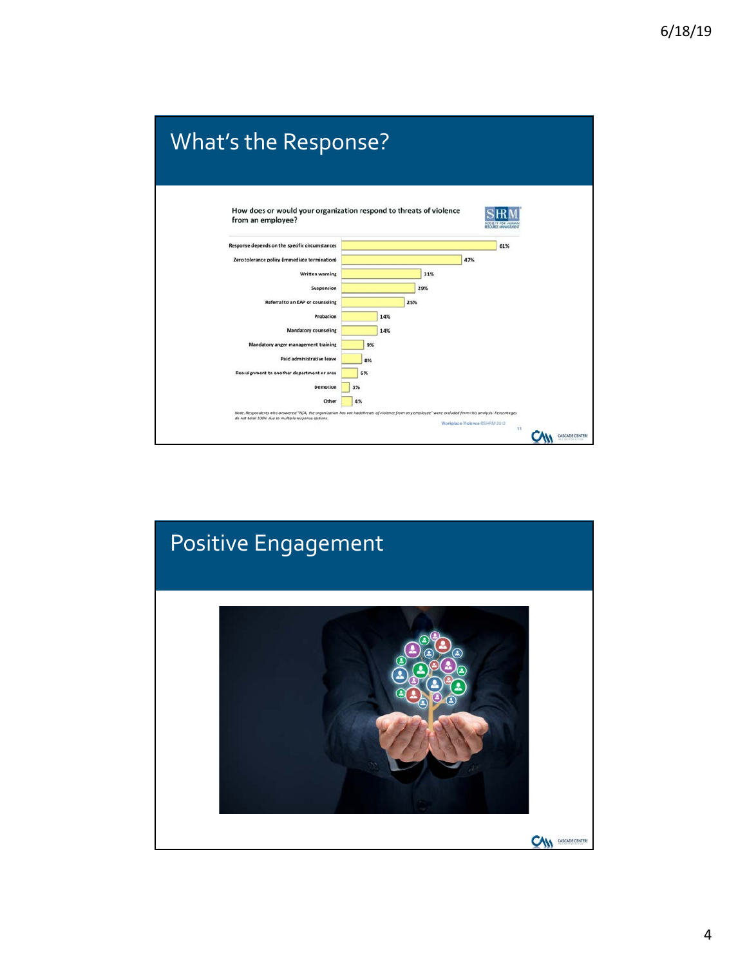

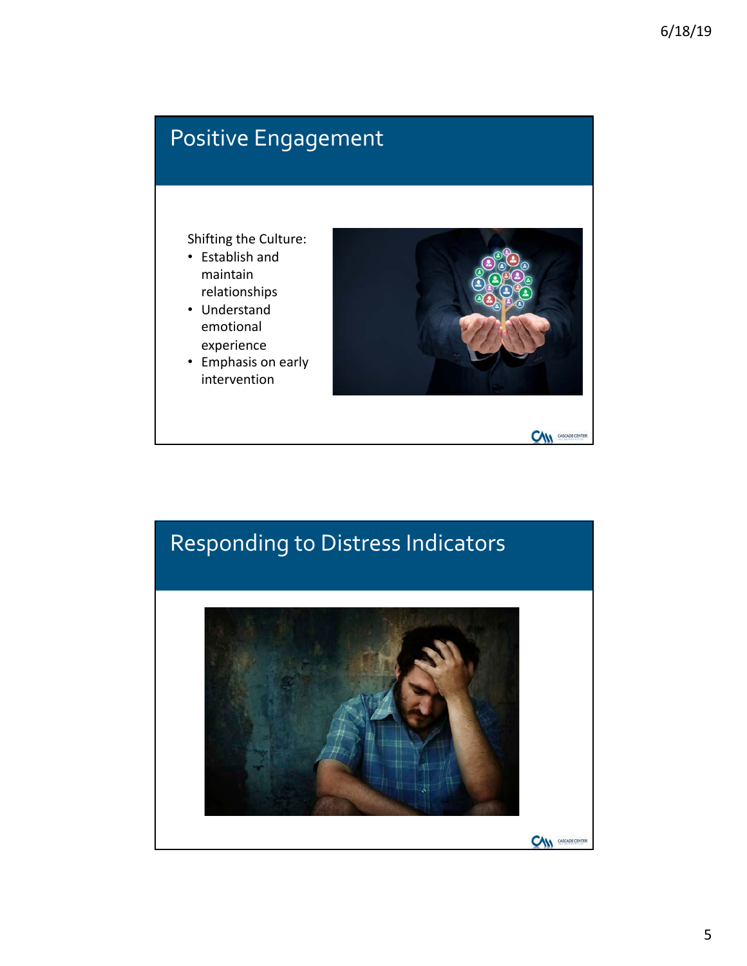# Positive Engagement

- Shifting the Culture:
- Establish and maintain relationships
- Understand emotional experience
- Emphasis on early intervention



# Responding to Distress Indicators**CAN** CASCADE CENTERS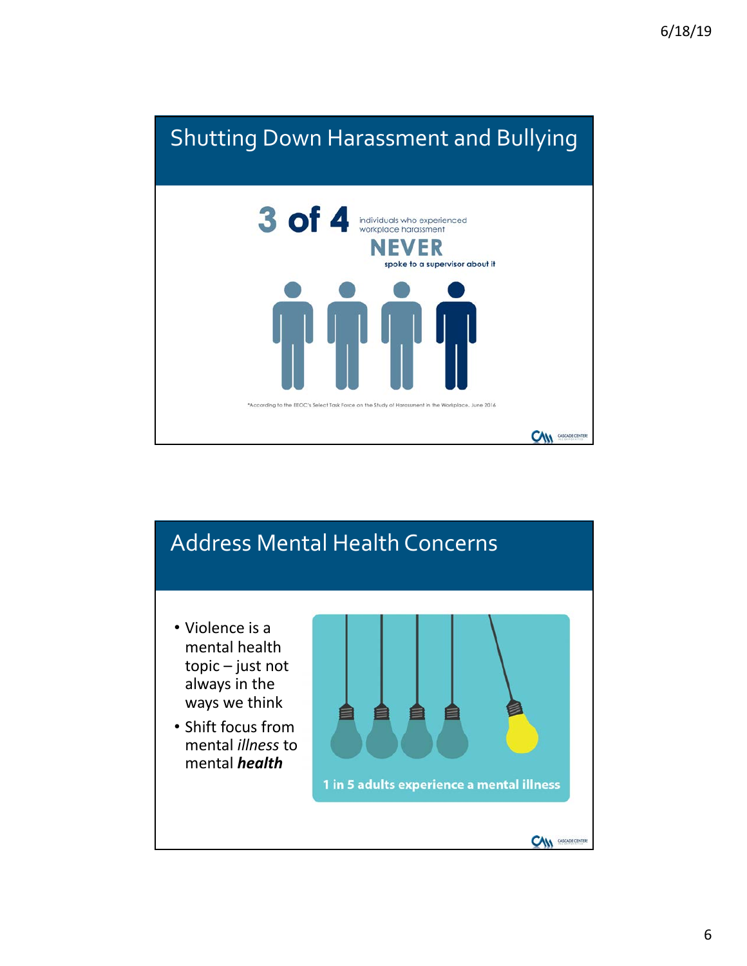

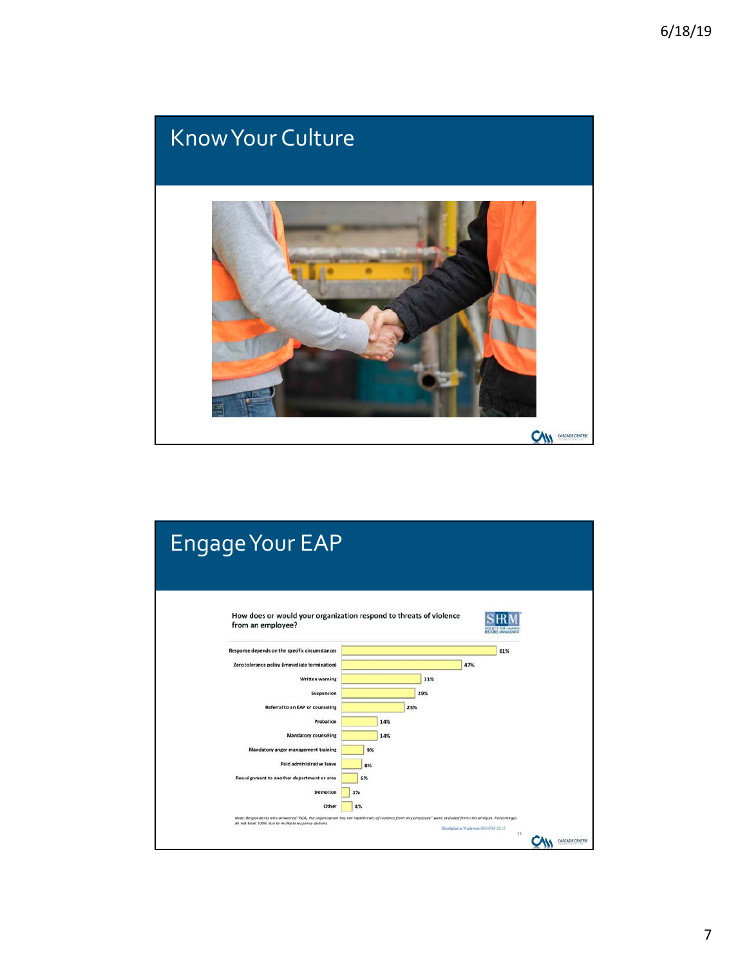

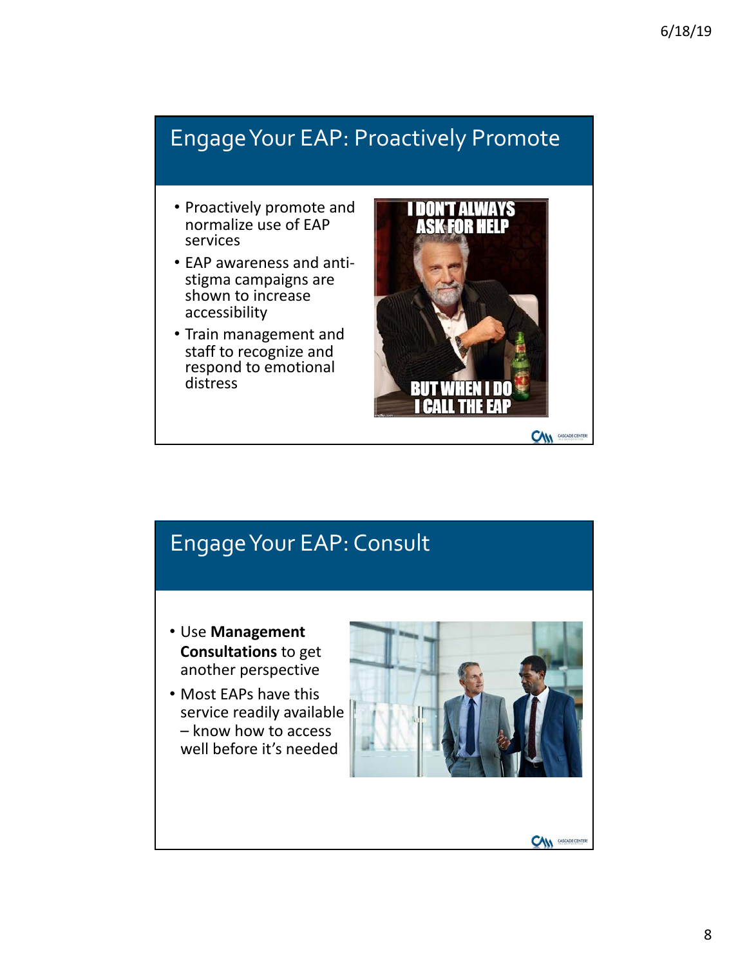# Engage Your EAP: Proactively Promote

- Proactively promote and normalize use of EAP services
- EAP awareness and antistigma campaigns are shown to increase accessibility
- Train management and staff to recognize and respond to emotional distress



#### Engage Your EAP: Consult

- **Use Management Consultations** to get another perspective
- Most EAPs have this service readily available – know how to access well before it's needed



**CAN** *CASCADE CENTER*